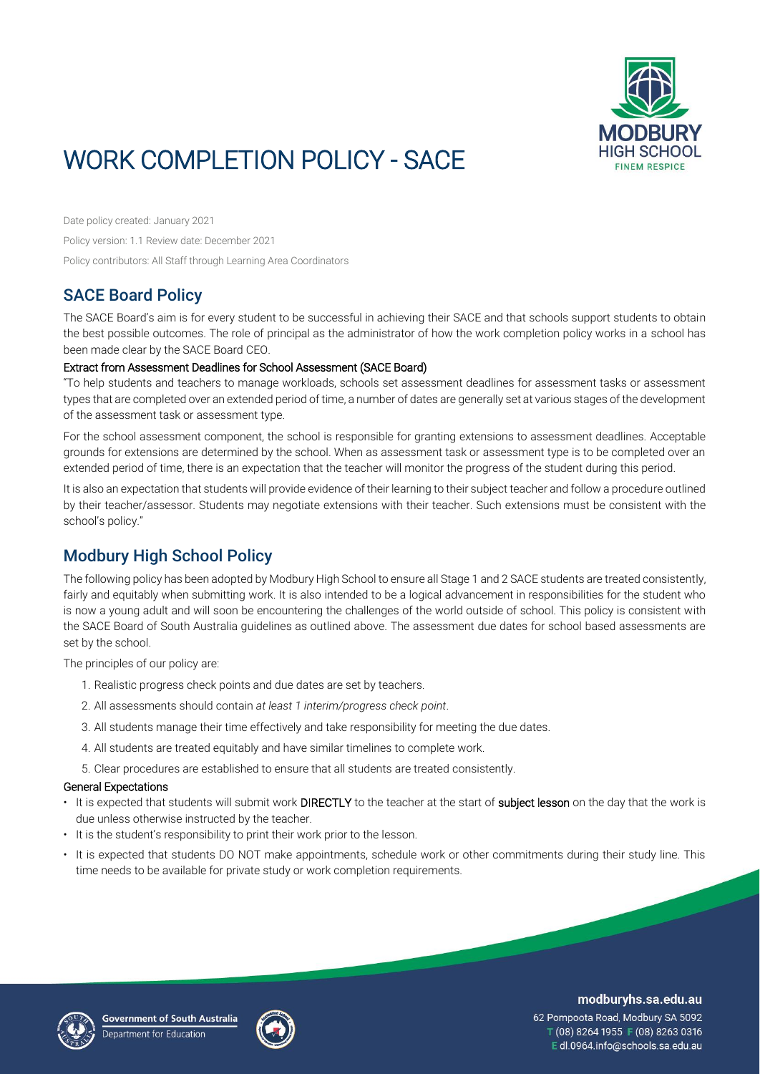

# WORK COMPLETION POLICY - SACE

Date policy created: January 2021 Policy version: 1.1 Review date: December 2021 Policy contributors: All Staff through Learning Area Coordinators

# SACE Board Policy

The SACE Board's aim is for every student to be successful in achieving their SACE and that schools support students to obtain the best possible outcomes. The role of principal as the administrator of how the work completion policy works in a school has been made clear by the SACE Board CEO.

### Extract from Assessment Deadlines for School Assessment (SACE Board)

"To help students and teachers to manage workloads, schools set assessment deadlines for assessment tasks or assessment types that are completed over an extended period of time, a number of dates are generally set at various stages of the development of the assessment task or assessment type.

For the school assessment component, the school is responsible for granting extensions to assessment deadlines. Acceptable grounds for extensions are determined by the school. When as assessment task or assessment type is to be completed over an extended period of time, there is an expectation that the teacher will monitor the progress of the student during this period.

It is also an expectation that students will provide evidence of their learning to their subject teacher and follow a procedure outlined by their teacher/assessor. Students may negotiate extensions with their teacher. Such extensions must be consistent with the school's policy."

# Modbury High School Policy

The following policy has been adopted by Modbury High School to ensure all Stage 1 and 2 SACE students are treated consistently, fairly and equitably when submitting work. It is also intended to be a logical advancement in responsibilities for the student who is now a young adult and will soon be encountering the challenges of the world outside of school. This policy is consistent with the SACE Board of South Australia guidelines as outlined above. The assessment due dates for school based assessments are set by the school.

The principles of our policy are:

- 1. Realistic progress check points and due dates are set by teachers.
- 2. All assessments should contain *at least 1 interim/progress check point*.
- 3. All students manage their time effectively and take responsibility for meeting the due dates.
- 4. All students are treated equitably and have similar timelines to complete work.
- 5. Clear procedures are established to ensure that all students are treated consistently.

### General Expectations

- It is expected that students will submit work DIRECTLY to the teacher at the start of subject lesson on the day that the work is due unless otherwise instructed by the teacher.
- It is the student's responsibility to print their work prior to the lesson.
- It is expected that students DO NOT make appointments, schedule work or other commitments during their study line. This time needs to be available for private study or work completion requirements.





### modburyhs.sa.edu.au

62 Pompoota Road, Modbury SA 5092 T (08) 8264 1955 F (08) 8263 0316 E dl.0964.info@schools.sa.edu.au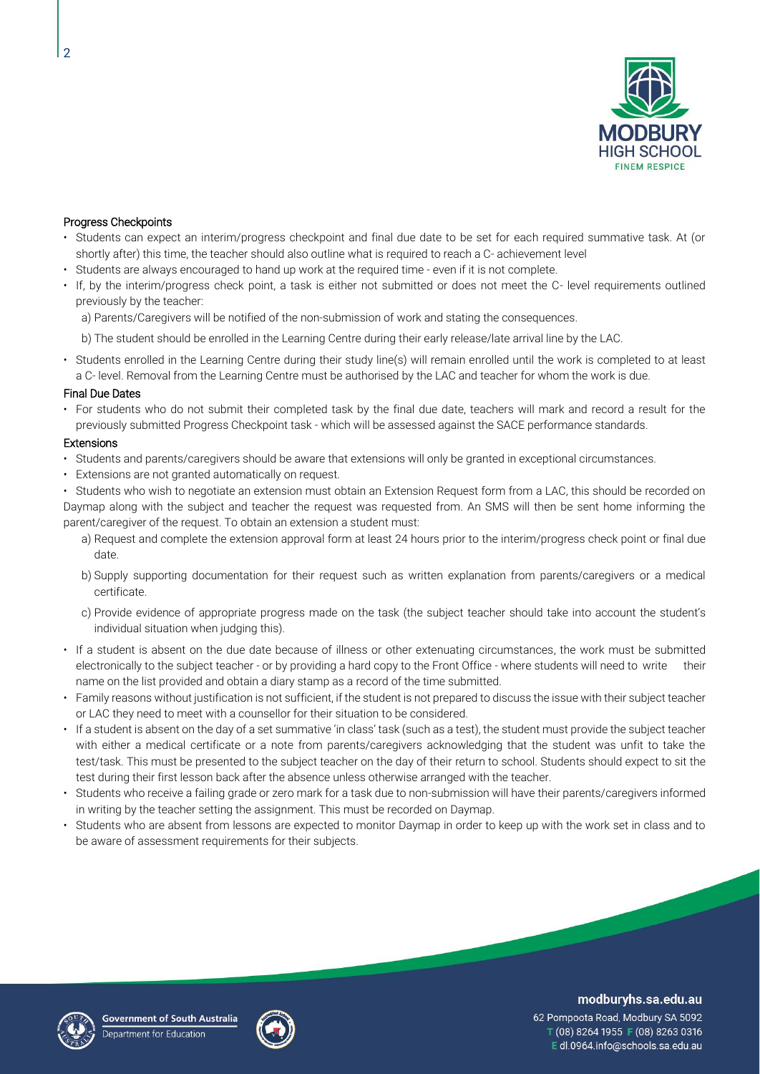

### Progress Checkpoints

- Students can expect an interim/progress checkpoint and final due date to be set for each required summative task. At (or shortly after) this time, the teacher should also outline what is required to reach a C- achievement level
- Students are always encouraged to hand up work at the required time even if it is not complete.
- If, by the interim/progress check point, a task is either not submitted or does not meet the C- level requirements outlined previously by the teacher:
	- a) Parents/Caregivers will be notified of the non-submission of work and stating the consequences.
	- b) The student should be enrolled in the Learning Centre during their early release/late arrival line by the LAC.
- Students enrolled in the Learning Centre during their study line(s) will remain enrolled until the work is completed to at least a C- level. Removal from the Learning Centre must be authorised by the LAC and teacher for whom the work is due.

#### Final Due Dates

• For students who do not submit their completed task by the final due date, teachers will mark and record a result for the previously submitted Progress Checkpoint task - which will be assessed against the SACE performance standards.

#### **Extensions**

- Students and parents/caregivers should be aware that extensions will only be granted in exceptional circumstances.
- Extensions are not granted automatically on request.

• Students who wish to negotiate an extension must obtain an Extension Request form from a LAC, this should be recorded on Daymap along with the subject and teacher the request was requested from. An SMS will then be sent home informing the parent/caregiver of the request. To obtain an extension a student must:

- a) Request and complete the extension approval form at least 24 hours prior to the interim/progress check point or final due date.
- b) Supply supporting documentation for their request such as written explanation from parents/caregivers or a medical certificate.
- c) Provide evidence of appropriate progress made on the task (the subject teacher should take into account the student's individual situation when judging this).
- If a student is absent on the due date because of illness or other extenuating circumstances, the work must be submitted electronically to the subject teacher - or by providing a hard copy to the Front Office - where students will need to write their name on the list provided and obtain a diary stamp as a record of the time submitted.
- Family reasons without justification is not sufficient, if the student is not prepared to discuss the issue with their subject teacher or LAC they need to meet with a counsellor for their situation to be considered.
- If a student is absent on the day of a set summative 'in class' task (such as a test), the student must provide the subject teacher with either a medical certificate or a note from parents/caregivers acknowledging that the student was unfit to take the test/task. This must be presented to the subject teacher on the day of their return to school. Students should expect to sit the test during their first lesson back after the absence unless otherwise arranged with the teacher.
- Students who receive a failing grade or zero mark for a task due to non-submission will have their parents/caregivers informed in writing by the teacher setting the assignment. This must be recorded on Daymap.
- Students who are absent from lessons are expected to monitor Daymap in order to keep up with the work set in class and to be aware of assessment requirements for their subjects.





modburyhs.sa.edu.au

62 Pompoota Road, Modbury SA 5092 T (08) 8264 1955 F (08) 8263 0316 Edl.0964.info@schools.sa.edu.au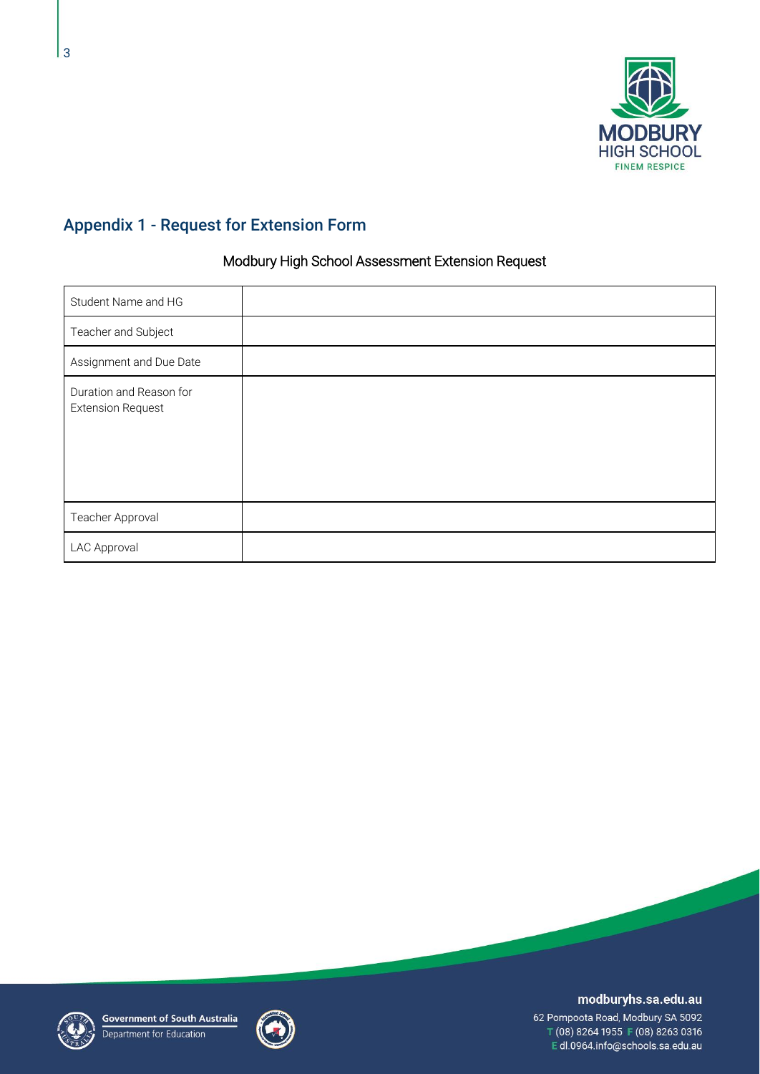

# Appendix 1 - Request for Extension Form

### Modbury High School Assessment Extension Request

| Student Name and HG                                 |  |
|-----------------------------------------------------|--|
| Teacher and Subject                                 |  |
| Assignment and Due Date                             |  |
| Duration and Reason for<br><b>Extension Request</b> |  |
| Teacher Approval                                    |  |
| LAC Approval                                        |  |





### modburyhs.sa.edu.au

62 Pompoota Road, Modbury SA 5092 T (08) 8264 1955 F (08) 8263 0316 Edl.0964.info@schools.sa.edu.au